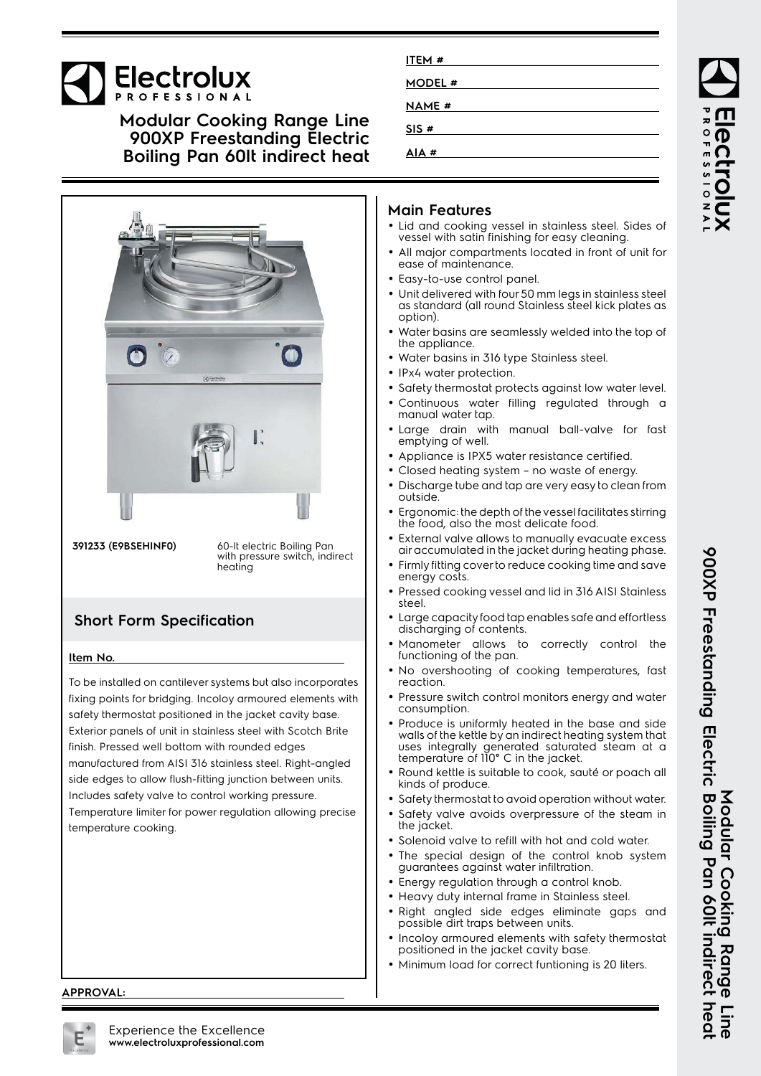# **Electrolux**

## **Modular Cooking Range Line 900XP Freestanding Electric Boiling Pan 60lt indirect heat**



**391233 (E9BSEHINF0)** 60-lt electric Boiling Pan with pressure switch, indirect heating

## **Short Form Specification**

#### **Item No.**

To be installed on cantilever systems but also incorporates fixing points for bridging. Incoloy armoured elements with safety thermostat positioned in the jacket cavity base. Exterior panels of unit in stainless steel with Scotch Brite finish. Pressed well bottom with rounded edges manufactured from AISI 316 stainless steel. Right-angled side edges to allow flush-fitting junction between units. Includes safety valve to control working pressure. Temperature limiter for power regulation allowing precise temperature cooking.

### **Main Features**

**ITEM # MODEL # NAME # SIS # AIA #**

- Lid and cooking vessel in stainless steel. Sides of vessel with satin finishing for easy cleaning.
- All major compartments located in front of unit for ease of maintenance.
- Easy-to-use control panel.
- • Unit delivered with four 50 mm legs in stainless steel as standard (all round Stainless steel kick plates as option).
- • Water basins are seamlessly welded into the top of the appliance.
- •Water basins in 316 type Stainless steel.
- IPx4 water protection.
- Safety thermostat protects against low water level.
- Continuous water filling regulated through a manual water tap.
- •Large drain with manual ball-valve for fast emptying of well.
- Appliance is IPX5 water resistance certified.
- Closed heating system no waste of energy.
- Discharge tube and tap are very easy to clean from outside.
- • Ergonomic: the depth of the vessel facilitates stirring the food, also the most delicate food.
- External valve allows to manually evacuate excess air accumulated in the jacket during heating phase.
- Firmly fitting cover to reduce cooking time and save energy costs.
- • Pressed cooking vessel and lid in 316 AISI Stainless steel.
- Large capacity food tap enables safe and effortless discharging of contents.
- • Manometer allows to correctly control the functioning of the pan.
- • No overshooting of cooking temperatures, fast reaction.
- Pressure switch control monitors energy and water consumption.
- Produce is uniformly heated in the base and side walls of the kettle by an indirect heating system that uses integrally generated saturated steam at a temperature of 110° C in the jacket.
- Round kettle is suitable to cook, sauté or poach all kinds of produce.
- Safety thermostat to avoid operation without water.
- • Safety valve avoids overpressure of the steam in the jacket.
- Solenoid valve to refill with hot and cold water.
- The special design of the control knob system guarantees against water infiltration.
- Energy regulation through a control knob.

•

- Heavy duty internal frame in Stainless steel.
- Right angled side edges eliminate gaps and possible dirt traps between units.
- Incoloy armoured elements with safety thermostat positioned in the jacket cavity base.
- Minimum load for correct funtioning is 20 liters.

**APPROVAL:**



900XP Freestanding Electric Boiling Pan 60It indirect heal **900XP Freestanding Electric Boiling Pan 60lt indirect heat Modular Cooking Range Line** Modular Cooking Range Fine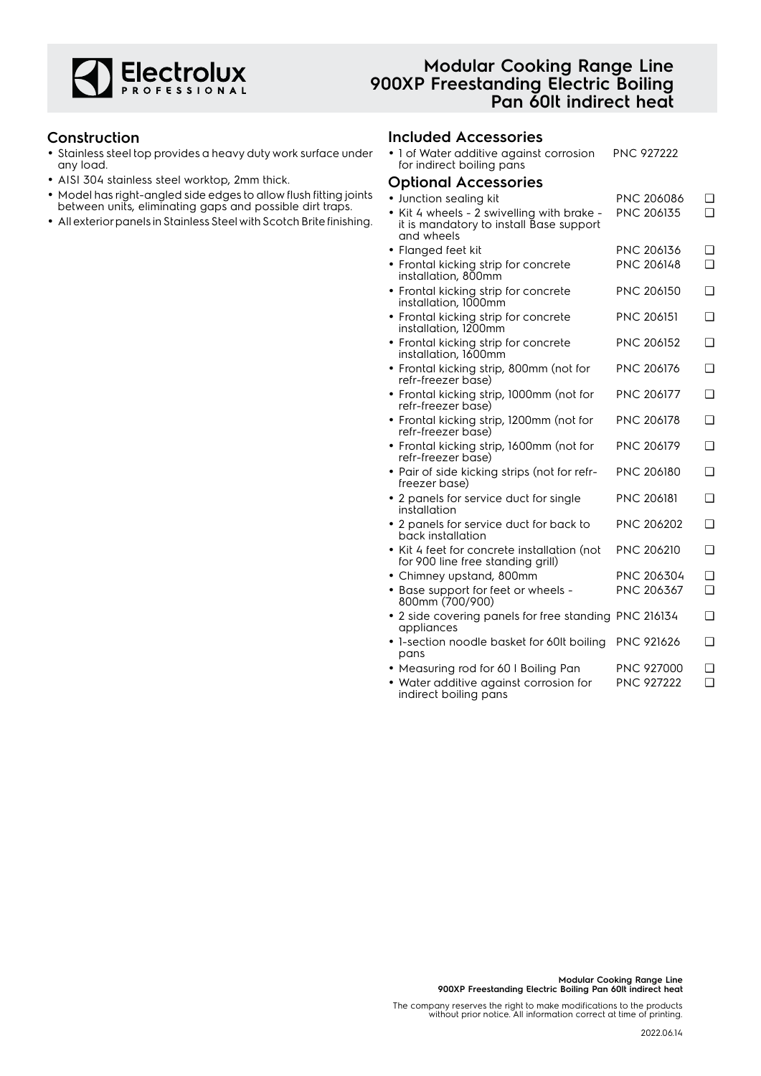

## **Modular Cooking Range Line 900XP Freestanding Electric Boiling Pan 60lt indirect heat**

#### **Construction**

- Stainless steel top provides a heavy duty work surface under any load.
- AISI 304 stainless steel worktop, 2mm thick.
- Model has right-angled side edges to allow flush fitting joints between units, eliminating gaps and possible dirt traps.
- All exterior panels in Stainless Steel with Scotch Brite finishing.

#### **Included Accessories**

| • 1 of Water additive against corrosion<br>for indirect boiling pans                                | <b>PNC 927222</b> |        |
|-----------------------------------------------------------------------------------------------------|-------------------|--------|
| <b>Optional Accessories</b>                                                                         |                   |        |
| · Junction sealing kit                                                                              | PNC 206086        | ❏      |
| • Kit 4 wheels - 2 swivelling with brake -<br>it is mandatory to install Base support<br>and wheels | PNC 206135        | $\Box$ |
| • Flanged feet kit                                                                                  | PNC 206136        | ❏      |
| • Frontal kicking strip for concrete<br>installation, 800mm                                         | <b>PNC 206148</b> | $\Box$ |
| • Frontal kicking strip for concrete<br>installation, 1000mm                                        | <b>PNC 206150</b> | □      |
| • Frontal kicking strip for concrete<br>installation, 1200mm                                        | <b>PNC 206151</b> | $\Box$ |
| • Frontal kicking strip for concrete<br>installation, 1600mm                                        | <b>PNC 206152</b> | $\Box$ |
| • Frontal kicking strip, 800mm (not for<br>refr-freezer base)                                       | PNC 206176        | $\Box$ |
| • Frontal kicking strip, 1000mm (not for<br>refr-freezer base)                                      | PNC 206177        | $\Box$ |
| • Frontal kicking strip, 1200mm (not for<br>refr-freezer base)                                      | PNC 206178        | ❏      |
| • Frontal kicking strip, 1600mm (not for<br>refr-freezer base)                                      | <b>PNC 206179</b> | $\Box$ |
| • Pair of side kicking strips (not for refr-<br>freezer base)                                       | <b>PNC 206180</b> | $\Box$ |
| • 2 panels for service duct for single<br>installation                                              | <b>PNC 206181</b> | $\Box$ |
| • 2 panels for service duct for back to<br>back installation                                        | PNC 206202        | ❏      |
| • Kit 4 feet for concrete installation (not<br>for 900 line free standing grill)                    | <b>PNC 206210</b> | □      |
| • Chimney upstand, 800mm                                                                            | PNC 206304        | $\Box$ |
| • Base support for feet or wheels -<br>800mm (700/900)                                              | PNC 206367        | $\Box$ |
| • 2 side covering panels for free standing PNC 216134<br>appliances                                 |                   | ❏      |
| • 1-section noodle basket for 60lt boiling<br>pans                                                  | <b>PNC 921626</b> | $\Box$ |
| • Measuring rod for 60 I Boiling Pan                                                                | <b>PNC 927000</b> | $\Box$ |

• Water additive against corrosion for indirect boiling pans PNC 927222 ❑

The company reserves the right to make modifications to the products without prior notice. All information correct at time of printing.